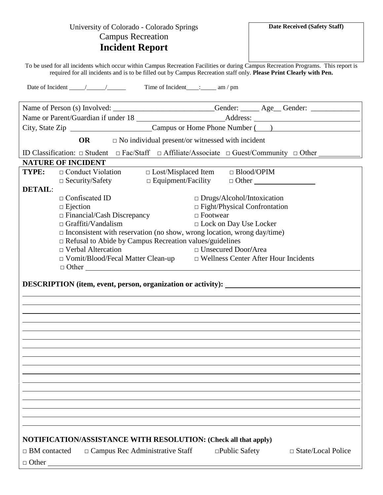| <b>Campus Recreation</b><br><b>Incident Report</b><br>To be used for all incidents which occur within Campus Recreation Facilities or during Campus Recreation Programs. This report is<br>required for all incidents and is to be filled out by Campus Recreation staff only. Please Print Clearly with Pen.<br>Name of Person (s) Involved: _________________________Gender: ______Age_Gender: ______________________________<br>OR $\Box$ No individual present/or witnessed with incident<br>ID Classification: □ Student □ Fac/Staff □ Affiliate/Associate □ Guest/Community □ Other ______<br><b>NATURE OF INCIDENT</b><br>TYPE:<br>□ Lost/Misplaced Item  □ Blood/OPIM<br>$\Box$ Conduct Violation<br>$\Box$ Security/Safety<br><b>DETAIL:</b><br>$\Box$ Confiscated ID<br>$\Box$ Drugs/Alcohol/Intoxication<br>$\Box$ Fight/Physical Confrontation<br>$\Box$ Ejection<br>$\Box$ Financial/Cash Discrepancy<br>$\Box$ Footwear<br>$\Box$ Graffiti/Vandalism<br>$\Box$ Lock on Day Use Locker<br>$\Box$ Inconsistent with reservation (no show, wrong location, wrong day/time)<br>$\Box$ Refusal to Abide by Campus Recreation values/guidelines<br>$\Box$ Verbal Altercation<br>$\Box$ Unsecured Door/Area<br>$\Box$ Vomit/Blood/Fecal Matter Clean-up $\Box$ Wellness Center After Hour Incidents<br>$\Box$ Other<br>DESCRIPTION (item, event, person, organization or activity): ___________________ | University of Colorado - Colorado Springs | Date Received (Safety Staff) |  |  |  |
|----------------------------------------------------------------------------------------------------------------------------------------------------------------------------------------------------------------------------------------------------------------------------------------------------------------------------------------------------------------------------------------------------------------------------------------------------------------------------------------------------------------------------------------------------------------------------------------------------------------------------------------------------------------------------------------------------------------------------------------------------------------------------------------------------------------------------------------------------------------------------------------------------------------------------------------------------------------------------------------------------------------------------------------------------------------------------------------------------------------------------------------------------------------------------------------------------------------------------------------------------------------------------------------------------------------------------------------------------------------------------------------------------------------|-------------------------------------------|------------------------------|--|--|--|
|                                                                                                                                                                                                                                                                                                                                                                                                                                                                                                                                                                                                                                                                                                                                                                                                                                                                                                                                                                                                                                                                                                                                                                                                                                                                                                                                                                                                                |                                           |                              |  |  |  |
|                                                                                                                                                                                                                                                                                                                                                                                                                                                                                                                                                                                                                                                                                                                                                                                                                                                                                                                                                                                                                                                                                                                                                                                                                                                                                                                                                                                                                |                                           |                              |  |  |  |
|                                                                                                                                                                                                                                                                                                                                                                                                                                                                                                                                                                                                                                                                                                                                                                                                                                                                                                                                                                                                                                                                                                                                                                                                                                                                                                                                                                                                                |                                           |                              |  |  |  |
|                                                                                                                                                                                                                                                                                                                                                                                                                                                                                                                                                                                                                                                                                                                                                                                                                                                                                                                                                                                                                                                                                                                                                                                                                                                                                                                                                                                                                |                                           |                              |  |  |  |
|                                                                                                                                                                                                                                                                                                                                                                                                                                                                                                                                                                                                                                                                                                                                                                                                                                                                                                                                                                                                                                                                                                                                                                                                                                                                                                                                                                                                                |                                           |                              |  |  |  |
|                                                                                                                                                                                                                                                                                                                                                                                                                                                                                                                                                                                                                                                                                                                                                                                                                                                                                                                                                                                                                                                                                                                                                                                                                                                                                                                                                                                                                |                                           |                              |  |  |  |
|                                                                                                                                                                                                                                                                                                                                                                                                                                                                                                                                                                                                                                                                                                                                                                                                                                                                                                                                                                                                                                                                                                                                                                                                                                                                                                                                                                                                                |                                           |                              |  |  |  |
|                                                                                                                                                                                                                                                                                                                                                                                                                                                                                                                                                                                                                                                                                                                                                                                                                                                                                                                                                                                                                                                                                                                                                                                                                                                                                                                                                                                                                |                                           |                              |  |  |  |
|                                                                                                                                                                                                                                                                                                                                                                                                                                                                                                                                                                                                                                                                                                                                                                                                                                                                                                                                                                                                                                                                                                                                                                                                                                                                                                                                                                                                                |                                           |                              |  |  |  |
|                                                                                                                                                                                                                                                                                                                                                                                                                                                                                                                                                                                                                                                                                                                                                                                                                                                                                                                                                                                                                                                                                                                                                                                                                                                                                                                                                                                                                |                                           |                              |  |  |  |
|                                                                                                                                                                                                                                                                                                                                                                                                                                                                                                                                                                                                                                                                                                                                                                                                                                                                                                                                                                                                                                                                                                                                                                                                                                                                                                                                                                                                                |                                           |                              |  |  |  |
|                                                                                                                                                                                                                                                                                                                                                                                                                                                                                                                                                                                                                                                                                                                                                                                                                                                                                                                                                                                                                                                                                                                                                                                                                                                                                                                                                                                                                |                                           |                              |  |  |  |
|                                                                                                                                                                                                                                                                                                                                                                                                                                                                                                                                                                                                                                                                                                                                                                                                                                                                                                                                                                                                                                                                                                                                                                                                                                                                                                                                                                                                                |                                           |                              |  |  |  |
|                                                                                                                                                                                                                                                                                                                                                                                                                                                                                                                                                                                                                                                                                                                                                                                                                                                                                                                                                                                                                                                                                                                                                                                                                                                                                                                                                                                                                |                                           |                              |  |  |  |
|                                                                                                                                                                                                                                                                                                                                                                                                                                                                                                                                                                                                                                                                                                                                                                                                                                                                                                                                                                                                                                                                                                                                                                                                                                                                                                                                                                                                                |                                           |                              |  |  |  |
|                                                                                                                                                                                                                                                                                                                                                                                                                                                                                                                                                                                                                                                                                                                                                                                                                                                                                                                                                                                                                                                                                                                                                                                                                                                                                                                                                                                                                |                                           |                              |  |  |  |
|                                                                                                                                                                                                                                                                                                                                                                                                                                                                                                                                                                                                                                                                                                                                                                                                                                                                                                                                                                                                                                                                                                                                                                                                                                                                                                                                                                                                                |                                           |                              |  |  |  |
|                                                                                                                                                                                                                                                                                                                                                                                                                                                                                                                                                                                                                                                                                                                                                                                                                                                                                                                                                                                                                                                                                                                                                                                                                                                                                                                                                                                                                |                                           |                              |  |  |  |
|                                                                                                                                                                                                                                                                                                                                                                                                                                                                                                                                                                                                                                                                                                                                                                                                                                                                                                                                                                                                                                                                                                                                                                                                                                                                                                                                                                                                                |                                           |                              |  |  |  |
|                                                                                                                                                                                                                                                                                                                                                                                                                                                                                                                                                                                                                                                                                                                                                                                                                                                                                                                                                                                                                                                                                                                                                                                                                                                                                                                                                                                                                |                                           |                              |  |  |  |
|                                                                                                                                                                                                                                                                                                                                                                                                                                                                                                                                                                                                                                                                                                                                                                                                                                                                                                                                                                                                                                                                                                                                                                                                                                                                                                                                                                                                                |                                           |                              |  |  |  |
|                                                                                                                                                                                                                                                                                                                                                                                                                                                                                                                                                                                                                                                                                                                                                                                                                                                                                                                                                                                                                                                                                                                                                                                                                                                                                                                                                                                                                |                                           |                              |  |  |  |
|                                                                                                                                                                                                                                                                                                                                                                                                                                                                                                                                                                                                                                                                                                                                                                                                                                                                                                                                                                                                                                                                                                                                                                                                                                                                                                                                                                                                                |                                           |                              |  |  |  |
|                                                                                                                                                                                                                                                                                                                                                                                                                                                                                                                                                                                                                                                                                                                                                                                                                                                                                                                                                                                                                                                                                                                                                                                                                                                                                                                                                                                                                |                                           |                              |  |  |  |
|                                                                                                                                                                                                                                                                                                                                                                                                                                                                                                                                                                                                                                                                                                                                                                                                                                                                                                                                                                                                                                                                                                                                                                                                                                                                                                                                                                                                                |                                           |                              |  |  |  |
|                                                                                                                                                                                                                                                                                                                                                                                                                                                                                                                                                                                                                                                                                                                                                                                                                                                                                                                                                                                                                                                                                                                                                                                                                                                                                                                                                                                                                |                                           |                              |  |  |  |
|                                                                                                                                                                                                                                                                                                                                                                                                                                                                                                                                                                                                                                                                                                                                                                                                                                                                                                                                                                                                                                                                                                                                                                                                                                                                                                                                                                                                                |                                           |                              |  |  |  |
|                                                                                                                                                                                                                                                                                                                                                                                                                                                                                                                                                                                                                                                                                                                                                                                                                                                                                                                                                                                                                                                                                                                                                                                                                                                                                                                                                                                                                |                                           |                              |  |  |  |
|                                                                                                                                                                                                                                                                                                                                                                                                                                                                                                                                                                                                                                                                                                                                                                                                                                                                                                                                                                                                                                                                                                                                                                                                                                                                                                                                                                                                                |                                           |                              |  |  |  |
|                                                                                                                                                                                                                                                                                                                                                                                                                                                                                                                                                                                                                                                                                                                                                                                                                                                                                                                                                                                                                                                                                                                                                                                                                                                                                                                                                                                                                |                                           |                              |  |  |  |
|                                                                                                                                                                                                                                                                                                                                                                                                                                                                                                                                                                                                                                                                                                                                                                                                                                                                                                                                                                                                                                                                                                                                                                                                                                                                                                                                                                                                                |                                           |                              |  |  |  |
|                                                                                                                                                                                                                                                                                                                                                                                                                                                                                                                                                                                                                                                                                                                                                                                                                                                                                                                                                                                                                                                                                                                                                                                                                                                                                                                                                                                                                |                                           |                              |  |  |  |
|                                                                                                                                                                                                                                                                                                                                                                                                                                                                                                                                                                                                                                                                                                                                                                                                                                                                                                                                                                                                                                                                                                                                                                                                                                                                                                                                                                                                                |                                           |                              |  |  |  |
|                                                                                                                                                                                                                                                                                                                                                                                                                                                                                                                                                                                                                                                                                                                                                                                                                                                                                                                                                                                                                                                                                                                                                                                                                                                                                                                                                                                                                |                                           |                              |  |  |  |
|                                                                                                                                                                                                                                                                                                                                                                                                                                                                                                                                                                                                                                                                                                                                                                                                                                                                                                                                                                                                                                                                                                                                                                                                                                                                                                                                                                                                                |                                           |                              |  |  |  |
|                                                                                                                                                                                                                                                                                                                                                                                                                                                                                                                                                                                                                                                                                                                                                                                                                                                                                                                                                                                                                                                                                                                                                                                                                                                                                                                                                                                                                |                                           |                              |  |  |  |
|                                                                                                                                                                                                                                                                                                                                                                                                                                                                                                                                                                                                                                                                                                                                                                                                                                                                                                                                                                                                                                                                                                                                                                                                                                                                                                                                                                                                                |                                           |                              |  |  |  |
| <b>NOTIFICATION/ASSISTANCE WITH RESOLUTION: (Check all that apply)</b>                                                                                                                                                                                                                                                                                                                                                                                                                                                                                                                                                                                                                                                                                                                                                                                                                                                                                                                                                                                                                                                                                                                                                                                                                                                                                                                                         |                                           |                              |  |  |  |
| $\Box$ Campus Rec Administrative Staff<br>$\Box$ BM contacted<br>$\Box$ Public Safety<br>$\Box$ State/Local Police                                                                                                                                                                                                                                                                                                                                                                                                                                                                                                                                                                                                                                                                                                                                                                                                                                                                                                                                                                                                                                                                                                                                                                                                                                                                                             |                                           |                              |  |  |  |
| $\Box$ Other                                                                                                                                                                                                                                                                                                                                                                                                                                                                                                                                                                                                                                                                                                                                                                                                                                                                                                                                                                                                                                                                                                                                                                                                                                                                                                                                                                                                   |                                           |                              |  |  |  |